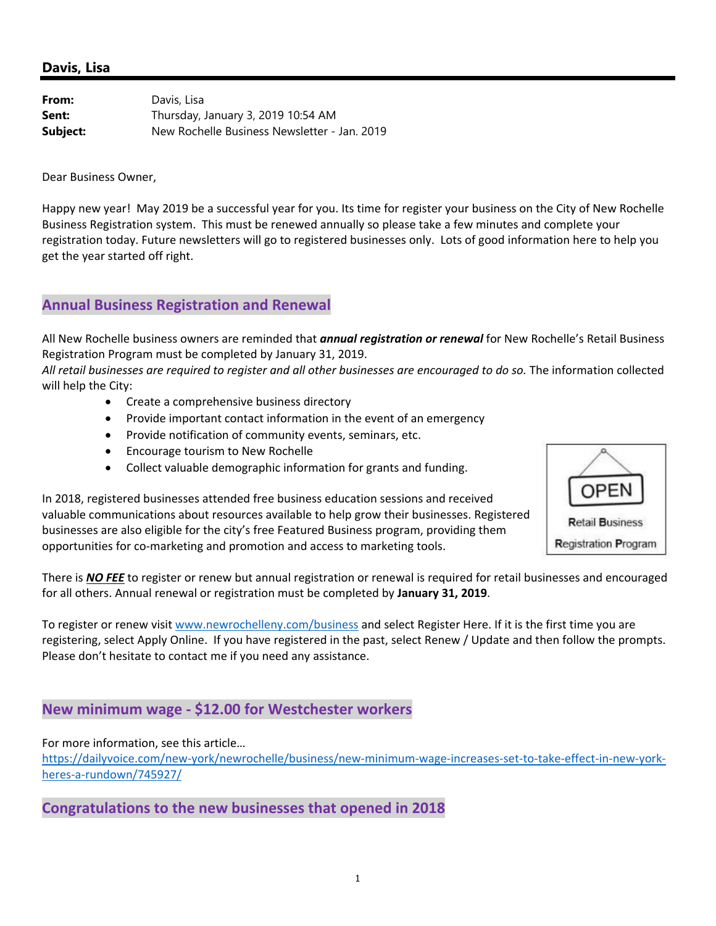## **Davis, Lisa**

| From:    | Davis, Lisa                                  |
|----------|----------------------------------------------|
| Sent:    | Thursday, January 3, 2019 10:54 AM           |
| Subject: | New Rochelle Business Newsletter - Jan. 2019 |

Dear Business Owner,

Happy new year! May 2019 be a successful year for you. Its time for register your business on the City of New Rochelle Business Registration system. This must be renewed annually so please take a few minutes and complete your registration today. Future newsletters will go to registered businesses only. Lots of good information here to help you get the year started off right.

## **Annual Business Registration and Renewal**

All New Rochelle business owners are reminded that *annual registration or renewal* for New Rochelle's Retail Business Registration Program must be completed by January 31, 2019.

*All retail businesses are required to register and all other businesses are encouraged to do so.* The information collected will help the City:

- Create a comprehensive business directory
- Provide important contact information in the event of an emergency
- Provide notification of community events, seminars, etc.
- Encourage tourism to New Rochelle
- Collect valuable demographic information for grants and funding.



In 2018, registered businesses attended free business education sessions and received valuable communications about resources available to help grow their businesses. Registered businesses are also eligible for the city's free Featured Business program, providing them opportunities for co-marketing and promotion and access to marketing tools.

There is *NO FEE* to register or renew but annual registration or renewal is required for retail businesses and encouraged for all others. Annual renewal or registration must be completed by **January 31, 2019**.

To register or renew visit www.newrochelleny.com/business and select Register Here. If it is the first time you are registering, select Apply Online. If you have registered in the past, select Renew / Update and then follow the prompts. Please don't hesitate to contact me if you need any assistance.

## **New minimum wage ‐ \$12.00 for Westchester workers**

For more information, see this article…

https://dailyvoice.com/new-york/newrochelle/business/new-minimum-wage-increases-set-to-take-effect-in-new-yorkheres‐a‐rundown/745927/

**Congratulations to the new businesses that opened in 2018**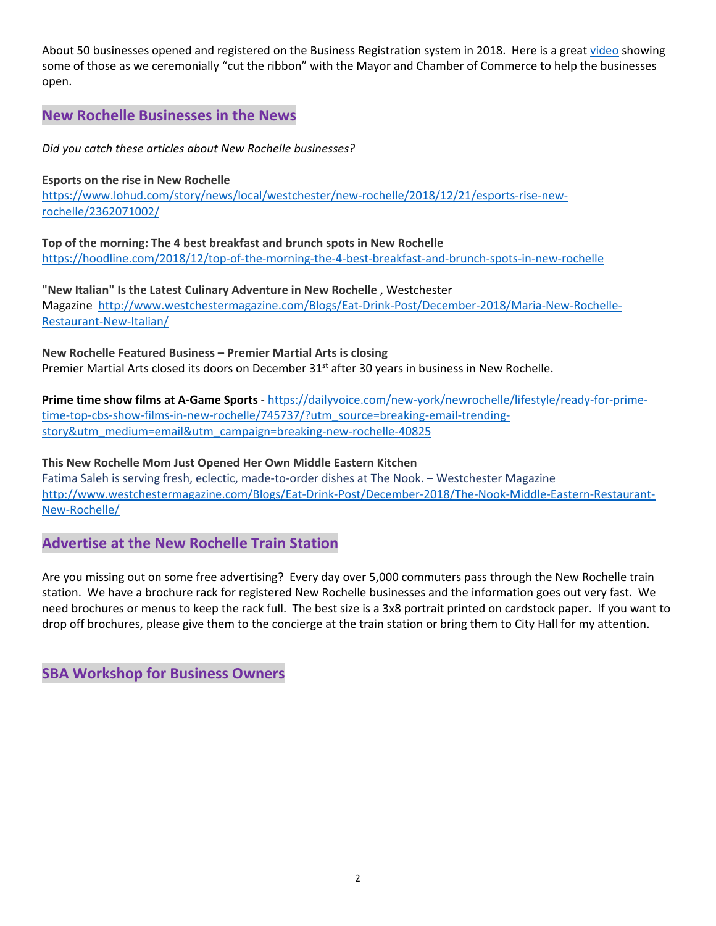About 50 businesses opened and registered on the Business Registration system in 2018. Here is a great video showing some of those as we ceremonially "cut the ribbon" with the Mayor and Chamber of Commerce to help the businesses open.

# **New Rochelle Businesses in the News**

*Did you catch these articles about New Rochelle businesses?* 

#### **Esports on the rise in New Rochelle**

https://www.lohud.com/story/news/local/westchester/new‐rochelle/2018/12/21/esports‐rise‐new‐ rochelle/2362071002/

**Top of the morning: The 4 best breakfast and brunch spots in New Rochelle**  https://hoodline.com/2018/12/top‐of‐the‐morning‐the‐4‐best‐breakfast‐and‐brunch‐spots‐in‐new‐rochelle

**"New Italian" Is the Latest Culinary Adventure in New Rochelle** , Westchester Magazine http://www.westchestermagazine.com/Blogs/Eat‐Drink‐Post/December‐2018/Maria‐New‐Rochelle‐ Restaurant‐New‐Italian/

**New Rochelle Featured Business – Premier Martial Arts is closing**  Premier Martial Arts closed its doors on December 31<sup>st</sup> after 30 years in business in New Rochelle.

**Prime time show films at A‐Game Sports** ‐ https://dailyvoice.com/new‐york/newrochelle/lifestyle/ready‐for‐prime‐ time-top-cbs-show-films-in-new-rochelle/745737/?utm\_source=breaking-email-trendingstory&utm\_medium=email&utm\_campaign=breaking-new-rochelle-40825

**This New Rochelle Mom Just Opened Her Own Middle Eastern Kitchen** 

Fatima Saleh is serving fresh, eclectic, made‐to‐order dishes at The Nook. – Westchester Magazine http://www.westchestermagazine.com/Blogs/Eat‐Drink‐Post/December‐2018/The‐Nook‐Middle‐Eastern‐Restaurant‐ New‐Rochelle/

**Advertise at the New Rochelle Train Station**

Are you missing out on some free advertising? Every day over 5,000 commuters pass through the New Rochelle train station. We have a brochure rack for registered New Rochelle businesses and the information goes out very fast. We need brochures or menus to keep the rack full. The best size is a 3x8 portrait printed on cardstock paper. If you want to drop off brochures, please give them to the concierge at the train station or bring them to City Hall for my attention.

**SBA Workshop for Business Owners**